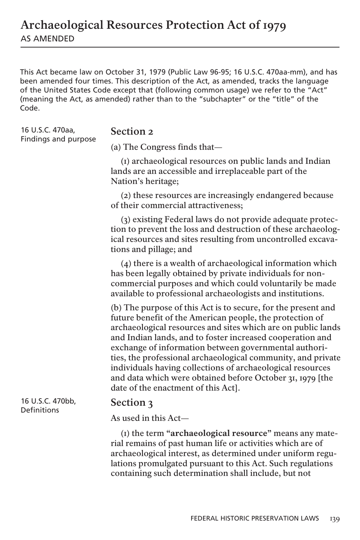#### **Archaeological Resources Protection Act of 1979**  AS AMENDED

This Act became law on October 31, 1979 (Public Law 96-95; 16 U.S.C. 470aa-mm), and has been amended four times. This description of the Act, as amended, tracks the language of the United States Code except that (following common usage) we refer to the "Act" (meaning the Act, as amended) rather than to the "subchapter" or the "title" of the Code.

16 U.S.C. 470aa, Findings and purpose

#### **Section 2**

(a) The Congress finds that—

(1) archaeological resources on public lands and Indian lands are an accessible and irreplaceable part of the Nation's heritage;

(2) these resources are increasingly endangered because of their commercial attractiveness;

(3) existing Federal laws do not provide adequate protection to prevent the loss and destruction of these archaeological resources and sites resulting from uncontrolled excavations and pillage; and

(4) there is a wealth of archaeological information which has been legally obtained by private individuals for noncommercial purposes and which could voluntarily be made available to professional archaeologists and institutions.

(b) The purpose of this Act is to secure, for the present and future benefit of the American people, the protection of archaeological resources and sites which are on public lands and Indian lands, and to foster increased cooperation and exchange of information between governmental authorities, the professional archaeological community, and private individuals having collections of archaeological resources and data which were obtained before October 31, 1979 [the date of the enactment of this Act].

16 U.S.C. 470bb, 16 U.S.C. 470bb, **Section 3**<br>Definitions

As used in this Act—

(1) the term **"archaeological resource"** means any material remains of past human life or activities which are of archaeological interest, as determined under uniform regulations promulgated pursuant to this Act. Such regulations containing such determination shall include, but not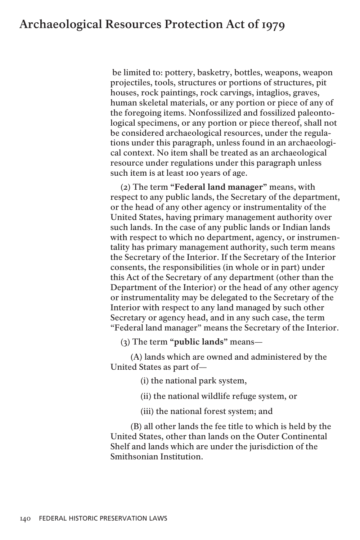be limited to: pottery, basketry, bottles, weapons, weapon projectiles, tools, structures or portions of structures, pit houses, rock paintings, rock carvings, intaglios, graves, human skeletal materials, or any portion or piece of any of the foregoing items. Nonfossilized and fossilized paleontological specimens, or any portion or piece thereof, shall not be considered archaeological resources, under the regulations under this paragraph, unless found in an archaeological context. No item shall be treated as an archaeological resource under regulations under this paragraph unless such item is at least 100 years of age.

(2) The term **"Federal land manager"** means, with respect to any public lands, the Secretary of the department, or the head of any other agency or instrumentality of the United States, having primary management authority over such lands. In the case of any public lands or Indian lands with respect to which no department, agency, or instrumentality has primary management authority, such term means the Secretary of the Interior. If the Secretary of the Interior consents, the responsibilities (in whole or in part) under this Act of the Secretary of any department (other than the Department of the Interior) or the head of any other agency or instrumentality may be delegated to the Secretary of the Interior with respect to any land managed by such other Secretary or agency head, and in any such case, the term "Federal land manager" means the Secretary of the Interior.

(3) The term **"public lands"** means—

(A) lands which are owned and administered by the United States as part of—

- (i) the national park system,
- (ii) the national wildlife refuge system, or
- (iii) the national forest system; and

(B) all other lands the fee title to which is held by the United States, other than lands on the Outer Continental Shelf and lands which are under the jurisdiction of the Smithsonian Institution.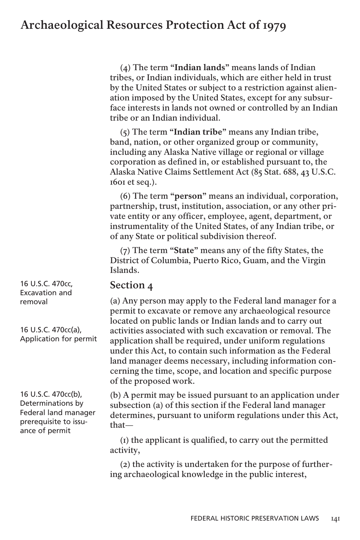(4) The term **"Indian lands"** means lands of Indian tribes, or Indian individuals, which are either held in trust by the United States or subject to a restriction against alienation imposed by the United States, except for any subsurface interests in lands not owned or controlled by an Indian tribe or an Indian individual.

(5) The term **"Indian tribe"** means any Indian tribe, band, nation, or other organized group or community, including any Alaska Native village or regional or village corporation as defined in, or established pursuant to, the Alaska Native Claims Settlement Act (85 Stat. 688, 43 U.S.C. 1601 et seq.).

(6) The term **"person"** means an individual, corporation, partnership, trust, institution, association, or any other private entity or any officer, employee, agent, department, or instrumentality of the United States, of any Indian tribe, or of any State or political subdivision thereof.

(7) The term **"State"** means any of the fifty States, the District of Columbia, Puerto Rico, Guam, and the Virgin Islands.

#### **Section 4**

(a) Any person may apply to the Federal land manager for a permit to excavate or remove any archaeological resource located on public lands or Indian lands and to carry out activities associated with such excavation or removal. The application shall be required, under uniform regulations under this Act, to contain such information as the Federal land manager deems necessary, including information concerning the time, scope, and location and specific purpose of the proposed work.

(b) A permit may be issued pursuant to an application under subsection (a) of this section if the Federal land manager determines, pursuant to uniform regulations under this Act, that—

(1) the applicant is qualified, to carry out the permitted activity,

(2) the activity is undertaken for the purpose of furthering archaeological knowledge in the public interest,

16 U.S.C. 470cc, Excavation and removal

16 U.S.C. 470cc(a), Application for permit

16 U.S.C. 470cc(b), Determinations by Federal land manager prerequisite to issuance of permit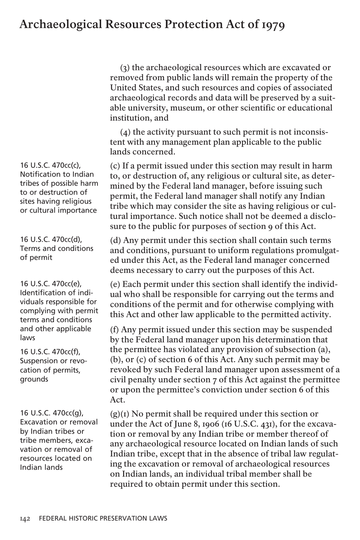(3) the archaeological resources which are excavated or removed from public lands will remain the property of the United States, and such resources and copies of associated archaeological records and data will be preserved by a suitable university, museum, or other scientific or educational institution, and

(4) the activity pursuant to such permit is not inconsistent with any management plan applicable to the public lands concerned.

(c) If a permit issued under this section may result in harm to, or destruction of, any religious or cultural site, as determined by the Federal land manager, before issuing such permit, the Federal land manager shall notify any Indian tribe which may consider the site as having religious or cultural importance. Such notice shall not be deemed a disclosure to the public for purposes of section 9 of this Act.

(d) Any permit under this section shall contain such terms and conditions, pursuant to uniform regulations promulgated under this Act, as the Federal land manager concerned deems necessary to carry out the purposes of this Act.

(e) Each permit under this section shall identify the individual who shall be responsible for carrying out the terms and conditions of the permit and for otherwise complying with this Act and other law applicable to the permitted activity.

(f) Any permit issued under this section may be suspended by the Federal land manager upon his determination that the permittee has violated any provision of subsection (a), (b), or (c) of section 6 of this Act. Any such permit may be revoked by such Federal land manager upon assessment of a civil penalty under section 7 of this Act against the permittee or upon the permittee's conviction under section 6 of this Act.

(g)(1) No permit shall be required under this section or under the Act of June 8, 1906 (16 U.S.C. 431), for the excavation or removal by any Indian tribe or member thereof of any archaeological resource located on Indian lands of such Indian tribe, except that in the absence of tribal law regulating the excavation or removal of archaeological resources on Indian lands, an individual tribal member shall be required to obtain permit under this section.

16 U.S.C. 470cc(c), Notification to Indian tribes of possible harm to or destruction of sites having religious or cultural importance

16 U.S.C. 470cc(d), Terms and conditions of permit

16 U.S.C. 470cc(e), Identification of individuals responsible for complying with permit terms and conditions and other applicable laws

16 U.S.C. 470cc(f), Suspension or revocation of permits, grounds

16 U.S.C. 470cc(g), Excavation or removal by Indian tribes or tribe members, excavation or removal of resources located on Indian lands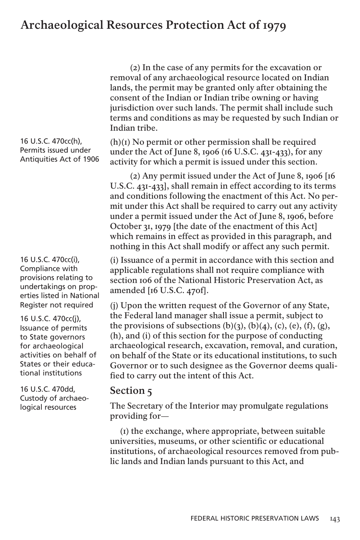(2) In the case of any permits for the excavation or removal of any archaeological resource located on Indian lands, the permit may be granted only after obtaining the consent of the Indian or Indian tribe owning or having jurisdiction over such lands. The permit shall include such terms and conditions as may be requested by such Indian or Indian tribe.

(h)(1) No permit or other permission shall be required under the Act of June 8, 1906 (16 U.S.C. 431-433), for any activity for which a permit is issued under this section.

(2) Any permit issued under the Act of June 8, 1906 [16 U.S.C. 431-433], shall remain in effect according to its terms and conditions following the enactment of this Act. No permit under this Act shall be required to carry out any activity under a permit issued under the Act of June 8, 1906, before October 31, 1979 [the date of the enactment of this Act] which remains in effect as provided in this paragraph, and nothing in this Act shall modify or affect any such permit.

(i) Issuance of a permit in accordance with this section and applicable regulations shall not require compliance with section 106 of the National Historic Preservation Act, as amended [16 U.S.C. 470f].

(j) Upon the written request of the Governor of any State, the Federal land manager shall issue a permit, subject to the provisions of subsections  $(b)(3)$ ,  $(b)(4)$ ,  $(c)$ ,  $(e)$ ,  $(f)$ ,  $(g)$ , (h), and (i) of this section for the purpose of conducting archaeological research, excavation, removal, and curation, on behalf of the State or its educational institutions, to such Governor or to such designee as the Governor deems qualified to carry out the intent of this Act.

#### **Section 5**

The Secretary of the Interior may promulgate regulations providing for—

(1) the exchange, where appropriate, between suitable universities, museums, or other scientific or educational institutions, of archaeological resources removed from public lands and Indian lands pursuant to this Act, and

16 U.S.C. 470cc(h), Permits issued under Antiquities Act of 1906

16 U.S.C. 470cc(i), Compliance with provisions relating to undertakings on properties listed in National Register not required

16 U.S.C. 470cc(j), Issuance of permits to State governors for archaeological activities on behalf of States or their educational institutions

16 U.S.C. 470dd, Custody of archaeological resources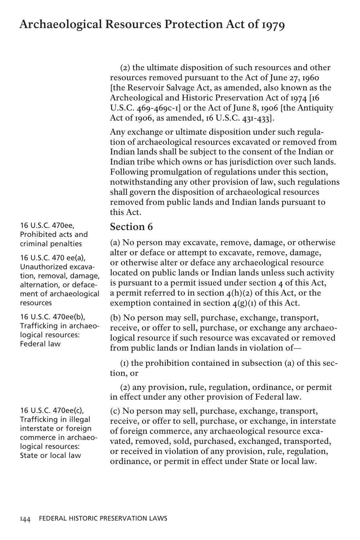(2) the ultimate disposition of such resources and other resources removed pursuant to the Act of June 27, 1960 [the Reservoir Salvage Act, as amended, also known as the Archeological and Historic Preservation Act of 1974 [16 U.S.C. 469-469c-1] or the Act of June 8, 1906 [the Antiquity Act of 1906, as amended, 16 U.S.C. 431-433].

Any exchange or ultimate disposition under such regulation of archaeological resources excavated or removed from Indian lands shall be subject to the consent of the Indian or Indian tribe which owns or has jurisdiction over such lands. Following promulgation of regulations under this section, notwithstanding any other provision of law, such regulations shall govern the disposition of archaeological resources removed from public lands and Indian lands pursuant to this Act.

#### **Section 6**

(a) No person may excavate, remove, damage, or otherwise alter or deface or attempt to excavate, remove, damage, or otherwise alter or deface any archaeological resource located on public lands or Indian lands unless such activity is pursuant to a permit issued under section 4 of this Act, a permit referred to in section  $4(h)(2)$  of this Act, or the exemption contained in section  $\varphi(g)(1)$  of this Act.

(b) No person may sell, purchase, exchange, transport, receive, or offer to sell, purchase, or exchange any archaeological resource if such resource was excavated or removed from public lands or Indian lands in violation of—

(1) the prohibition contained in subsection (a) of this section, or

(2) any provision, rule, regulation, ordinance, or permit in effect under any other provision of Federal law.

(c) No person may sell, purchase, exchange, transport, receive, or offer to sell, purchase, or exchange, in interstate of foreign commerce, any archaeological resource excavated, removed, sold, purchased, exchanged, transported, or received in violation of any provision, rule, regulation, ordinance, or permit in effect under State or local law.

16 U.S.C. 470ee, Prohibited acts and criminal penalties

16 U.S.C. 470 ee(a), Unauthorized excavation, removal, damage, alternation, or defacement of archaeological resources

16 U.S.C. 470ee(b), Trafficking in archaeological resources: Federal law

16 U.S.C. 470ee(c), Trafficking in illegal interstate or foreign commerce in archaeological resources: State or local law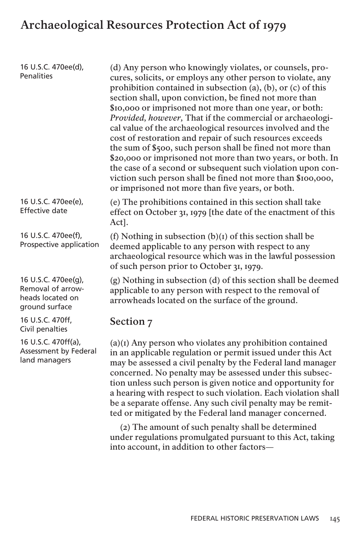16 U.S.C. 470ee(d), **Penalities** (d) Any person who knowingly violates, or counsels, procures, solicits, or employs any other person to violate, any prohibition contained in subsection (a), (b), or (c) of this section shall, upon conviction, be fined not more than \$10,000 or imprisoned not more than one year, or both: *Provided, however,* That if the commercial or archaeological value of the archaeological resources involved and the cost of restoration and repair of such resources exceeds the sum of \$500, such person shall be fined not more than \$20,000 or imprisoned not more than two years, or both. In the case of a second or subsequent such violation upon conviction such person shall be fined not more than \$100,000, or imprisoned not more than five years, or both. 16 U.S.C. 470ee(e), Effective date (e) The prohibitions contained in this section shall take effect on October 31, 1979 [the date of the enactment of this Act]. 16 U.S.C. 470ee(f), Prospective application (f) Nothing in subsection  $(b)(i)$  of this section shall be deemed applicable to any person with respect to any archaeological resource which was in the lawful possession of such person prior to October 31, 1979. 16 U.S.C. 470ee(g), Removal of arrowheads located on ground surface (g) Nothing in subsection (d) of this section shall be deemed applicable to any person with respect to the removal of arrowheads located on the surface of the ground. 16 U.S.C. 470ff, 16 U.S.C. 470tt,<br>Civil penalties 16 U.S.C. 470ff(a), Assessment by Federal land managers (a)(1) Any person who violates any prohibition contained in an applicable regulation or permit issued under this Act may be assessed a civil penalty by the Federal land manager concerned. No penalty may be assessed under this subsection unless such person is given notice and opportunity for a hearing with respect to such violation. Each violation shall be a separate offense. Any such civil penalty may be remitted or mitigated by the Federal land manager concerned. (2) The amount of such penalty shall be determined

under regulations promulgated pursuant to this Act, taking into account, in addition to other factors—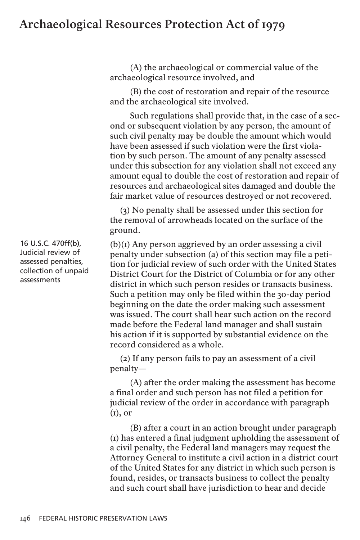(A) the archaeological or commercial value of the archaeological resource involved, and

(B) the cost of restoration and repair of the resource and the archaeological site involved.

Such regulations shall provide that, in the case of a second or subsequent violation by any person, the amount of such civil penalty may be double the amount which would have been assessed if such violation were the first violation by such person. The amount of any penalty assessed under this subsection for any violation shall not exceed any amount equal to double the cost of restoration and repair of resources and archaeological sites damaged and double the fair market value of resources destroyed or not recovered.

(3) No penalty shall be assessed under this section for the removal of arrowheads located on the surface of the ground.

(b)(1) Any person aggrieved by an order assessing a civil penalty under subsection (a) of this section may file a petition for judicial review of such order with the United States District Court for the District of Columbia or for any other district in which such person resides or transacts business. Such a petition may only be filed within the 30-day period beginning on the date the order making such assessment was issued. The court shall hear such action on the record made before the Federal land manager and shall sustain his action if it is supported by substantial evidence on the record considered as a whole.

(2) If any person fails to pay an assessment of a civil penalty—

(A) after the order making the assessment has become a final order and such person has not filed a petition for judicial review of the order in accordance with paragraph (1), or

(B) after a court in an action brought under paragraph (1) has entered a final judgment upholding the assessment of a civil penalty, the Federal land managers may request the Attorney General to institute a civil action in a district court of the United States for any district in which such person is found, resides, or transacts business to collect the penalty and such court shall have jurisdiction to hear and decide

16 U.S.C. 470ff(b), Judicial review of assessed penalties, collection of unpaid assessments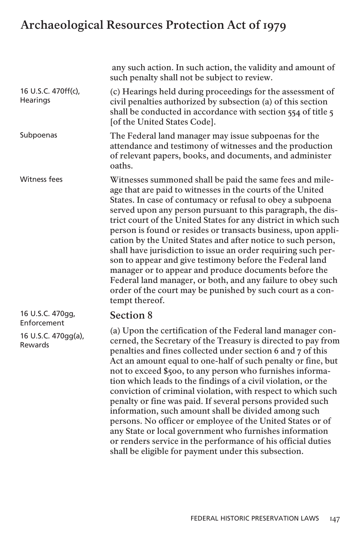|                                                                                | any such action. In such action, the validity and amount of<br>such penalty shall not be subject to review.                                                                                                                                                                                                                                                                                                                                                                                                                                                                                                                                                                                                                                                                                                                      |
|--------------------------------------------------------------------------------|----------------------------------------------------------------------------------------------------------------------------------------------------------------------------------------------------------------------------------------------------------------------------------------------------------------------------------------------------------------------------------------------------------------------------------------------------------------------------------------------------------------------------------------------------------------------------------------------------------------------------------------------------------------------------------------------------------------------------------------------------------------------------------------------------------------------------------|
| 16 U.S.C. 470ff(c),<br>Hearings                                                | (c) Hearings held during proceedings for the assessment of<br>civil penalties authorized by subsection (a) of this section<br>shall be conducted in accordance with section 554 of title 5<br>[of the United States Code].                                                                                                                                                                                                                                                                                                                                                                                                                                                                                                                                                                                                       |
| Subpoenas                                                                      | The Federal land manager may issue subpoenas for the<br>attendance and testimony of witnesses and the production<br>of relevant papers, books, and documents, and administer<br>oaths.                                                                                                                                                                                                                                                                                                                                                                                                                                                                                                                                                                                                                                           |
| <b>Witness fees</b>                                                            | Witnesses summoned shall be paid the same fees and mile-<br>age that are paid to witnesses in the courts of the United<br>States. In case of contumacy or refusal to obey a subpoena<br>served upon any person pursuant to this paragraph, the dis-<br>trict court of the United States for any district in which such<br>person is found or resides or transacts business, upon appli-<br>cation by the United States and after notice to such person,<br>shall have jurisdiction to issue an order requiring such per-<br>son to appear and give testimony before the Federal land<br>manager or to appear and produce documents before the<br>Federal land manager, or both, and any failure to obey such<br>order of the court may be punished by such court as a con-<br>tempt thereof.                                     |
| 16 U.S.C. 470gg,<br>Section 8<br>Enforcement<br>16 U.S.C. 470gg(a),<br>Rewards |                                                                                                                                                                                                                                                                                                                                                                                                                                                                                                                                                                                                                                                                                                                                                                                                                                  |
|                                                                                | (a) Upon the certification of the Federal land manager con-<br>cerned, the Secretary of the Treasury is directed to pay from<br>penalties and fines collected under section 6 and 7 of this<br>Act an amount equal to one-half of such penalty or fine, but<br>not to exceed \$500, to any person who furnishes informa-<br>tion which leads to the findings of a civil violation, or the<br>conviction of criminal violation, with respect to which such<br>penalty or fine was paid. If several persons provided such<br>information, such amount shall be divided among such<br>persons. No officer or employee of the United States or of<br>any State or local government who furnishes information<br>or renders service in the performance of his official duties<br>shall be eligible for payment under this subsection. |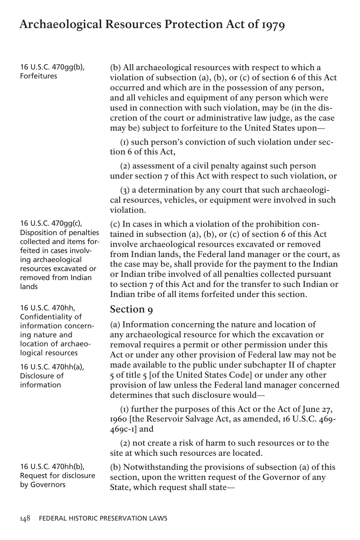16 U.S.C. 470gg(b), Forfeitures

(b) All archaeological resources with respect to which a violation of subsection (a), (b), or (c) of section 6 of this Act occurred and which are in the possession of any person, and all vehicles and equipment of any person which were used in connection with such violation, may be (in the discretion of the court or administrative law judge, as the case may be) subject to forfeiture to the United States upon—

(1) such person's conviction of such violation under section 6 of this Act,

(2) assessment of a civil penalty against such person under section 7 of this Act with respect to such violation, or

(3) a determination by any court that such archaeological resources, vehicles, or equipment were involved in such violation.

(c) In cases in which a violation of the prohibition contained in subsection (a), (b), or (c) of section 6 of this Act involve archaeological resources excavated or removed from Indian lands, the Federal land manager or the court, as the case may be, shall provide for the payment to the Indian or Indian tribe involved of all penalties collected pursuant to section 7 of this Act and for the transfer to such Indian or Indian tribe of all items forfeited under this section.

#### **Section 9**

(a) Information concerning the nature and location of any archaeological resource for which the excavation or removal requires a permit or other permission under this Act or under any other provision of Federal law may not be made available to the public under subchapter II of chapter 5 of title 5 [of the United States Code] or under any other provision of law unless the Federal land manager concerned determines that such disclosure would—

(1) further the purposes of this Act or the Act of June 27, 1960 [the Reservoir Salvage Act, as amended, 16 U.S.C. 469- 469c-1] and

(2) not create a risk of harm to such resources or to the site at which such resources are located.

(b) Notwithstanding the provisions of subsection (a) of this section, upon the written request of the Governor of any State, which request shall state—

16 U.S.C. 470gg(c), Disposition of penalties collected and items forfeited in cases involving archaeological resources excavated or removed from Indian lands

16 U.S.C. 470hh, Confidentiality of information concerning nature and location of archaeological resources

16 U.S.C. 470hh(a), Disclosure of information

16 U.S.C. 470hh(b), Request for disclosure by Governors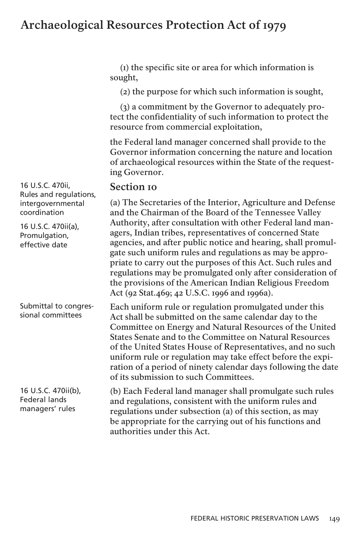(1) the specific site or area for which information is sought,

(2) the purpose for which such information is sought,

(3) a commitment by the Governor to adequately protect the confidentiality of such information to protect the resource from commercial exploitation,

the Federal land manager concerned shall provide to the Governor information concerning the nature and location of archaeological resources within the State of the requesting Governor.

#### **Section 10**

(a) The Secretaries of the Interior, Agriculture and Defense and the Chairman of the Board of the Tennessee Valley Authority, after consultation with other Federal land managers, Indian tribes, representatives of concerned State agencies, and after public notice and hearing, shall promulgate such uniform rules and regulations as may be appropriate to carry out the purposes of this Act. Such rules and regulations may be promulgated only after consideration of the provisions of the American Indian Religious Freedom Act (92 Stat.469; 42 U.S.C. 1996 and 1996a).

Each uniform rule or regulation promulgated under this Act shall be submitted on the same calendar day to the Committee on Energy and Natural Resources of the United States Senate and to the Committee on Natural Resources of the United States House of Representatives, and no such uniform rule or regulation may take effect before the expiration of a period of ninety calendar days following the date of its submission to such Committees.

(b) Each Federal land manager shall promulgate such rules and regulations, consistent with the uniform rules and regulations under subsection (a) of this section, as may be appropriate for the carrying out of his functions and authorities under this Act.

16 U.S.C. 470ii, Rules and regulations, intergovernmental coordination

16 U.S.C. 470ii(a), Promulgation, effective date

Submittal to congressional committees

16 U.S.C. 470ii(b), Federal lands managers' rules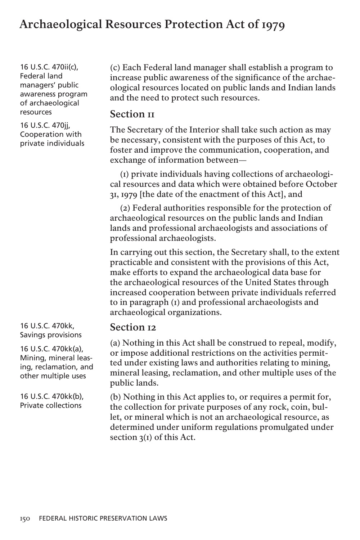16 U.S.C. 470ii(c), Federal land managers' public awareness program of archaeological resources

16 U.S.C. 470jj, Cooperation with private individuals

16 U.S.C. 470kk, Savings provisions

16 U.S.C. 470kk(a), Mining, mineral leasing, reclamation, and other multiple uses

16 U.S.C. 470kk(b), Private collections

(c) Each Federal land manager shall establish a program to increase public awareness of the significance of the archaeological resources located on public lands and Indian lands and the need to protect such resources.

#### **Section II**

The Secretary of the Interior shall take such action as may be necessary, consistent with the purposes of this Act, to foster and improve the communication, cooperation, and exchange of information between—

(1) private individuals having collections of archaeological resources and data which were obtained before October 31, 1979 [the date of the enactment of this Act], and

(2) Federal authorities responsible for the protection of archaeological resources on the public lands and Indian lands and professional archaeologists and associations of professional archaeologists.

In carrying out this section, the Secretary shall, to the extent practicable and consistent with the provisions of this Act, make efforts to expand the archaeological data base for the archaeological resources of the United States through increased cooperation between private individuals referred to in paragraph (1) and professional archaeologists and archaeological organizations.

#### **Section 12**

(a) Nothing in this Act shall be construed to repeal, modify, or impose additional restrictions on the activities permitted under existing laws and authorities relating to mining, mineral leasing, reclamation, and other multiple uses of the public lands.

(b) Nothing in this Act applies to, or requires a permit for, the collection for private purposes of any rock, coin, bullet, or mineral which is not an archaeological resource, as determined under uniform regulations promulgated under section  $3(1)$  of this Act.